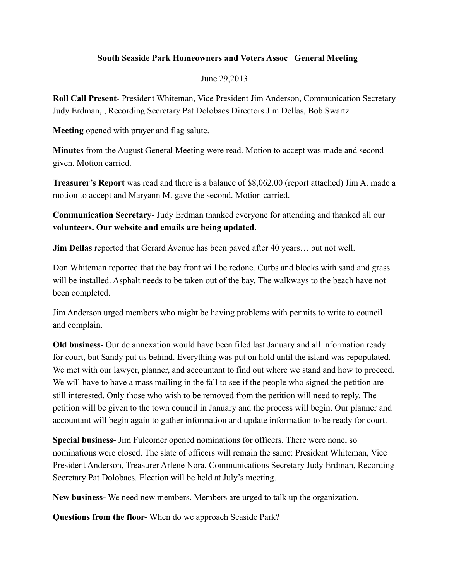## **South Seaside Park Homeowners and Voters Assoc General Meeting**

## June 29,2013

**Roll Call Present**- President Whiteman, Vice President Jim Anderson, Communication Secretary Judy Erdman, , Recording Secretary Pat Dolobacs Directors Jim Dellas, Bob Swartz

**Meeting** opened with prayer and flag salute.

**Minutes** from the August General Meeting were read. Motion to accept was made and second given. Motion carried.

**Treasurer's Report** was read and there is a balance of \$8,062.00 (report attached) Jim A. made a motion to accept and Maryann M. gave the second. Motion carried.

**Communication Secretary**- Judy Erdman thanked everyone for attending and thanked all our **volunteers. Our website and emails are being updated.**

**Jim Dellas** reported that Gerard Avenue has been paved after 40 years… but not well.

Don Whiteman reported that the bay front will be redone. Curbs and blocks with sand and grass will be installed. Asphalt needs to be taken out of the bay. The walkways to the beach have not been completed.

Jim Anderson urged members who might be having problems with permits to write to council and complain.

**Old business-** Our de annexation would have been filed last January and all information ready for court, but Sandy put us behind. Everything was put on hold until the island was repopulated. We met with our lawyer, planner, and accountant to find out where we stand and how to proceed. We will have to have a mass mailing in the fall to see if the people who signed the petition are still interested. Only those who wish to be removed from the petition will need to reply. The petition will be given to the town council in January and the process will begin. Our planner and accountant will begin again to gather information and update information to be ready for court.

**Special business**- Jim Fulcomer opened nominations for officers. There were none, so nominations were closed. The slate of officers will remain the same: President Whiteman, Vice President Anderson, Treasurer Arlene Nora, Communications Secretary Judy Erdman, Recording Secretary Pat Dolobacs. Election will be held at July's meeting.

**New business-** We need new members. Members are urged to talk up the organization.

**Questions from the floor-** When do we approach Seaside Park?